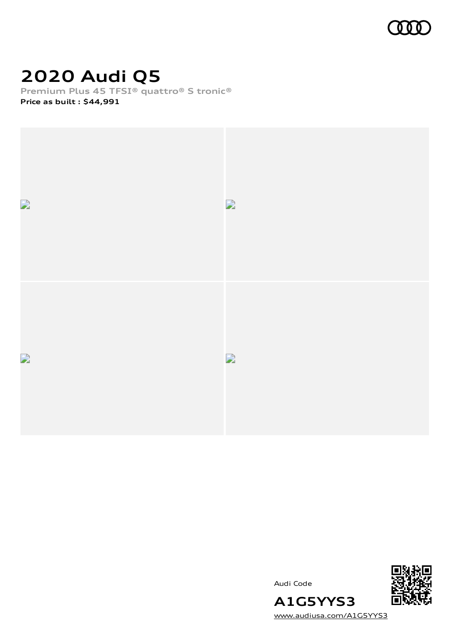

# **2020 Audi Q5**

**Premium Plus 45 TFSI® quattro® S tronic® Price as built [:](#page-8-0) \$44,991**







[www.audiusa.com/A1G5YYS3](https://www.audiusa.com/A1G5YYS3)

**A1G5YYS3**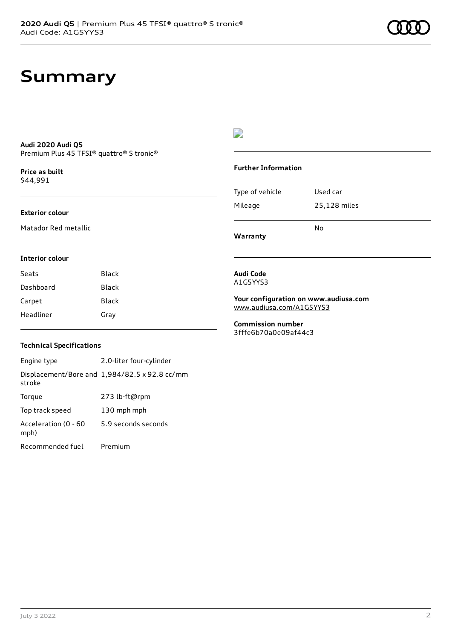### **Audi 2020 Audi Q5** Premium Plus 45 TFSI® quattro® S tronic®

**Price as buil[t](#page-8-0)** \$44,991

### **Exterior colour**

**Interior colour**

Matador Red metallic

### D

### **Further Information**

| Type of vehicle | Used car     |  |
|-----------------|--------------|--|
| Mileage         | 25,128 miles |  |
|                 | No           |  |

**Warranty**

**Audi Code** A1G5YYS3

**Your configuration on www.audiusa.com** [www.audiusa.com/A1G5YYS3](https://www.audiusa.com/A1G5YYS3)

**Commission number** 3fffe6b70a0e09af44c3

### **Technical Specifications**

Seats Black Dashboard Black Carpet Black Headliner Gray

Engine type 2.0-liter four-cylinder Displacement/Bore and 1,984/82.5 x 92.8 cc/mm stroke Torque 273 lb-ft@rpm Top track speed 130 mph mph Acceleration (0 - 60 mph) 5.9 seconds seconds Recommended fuel Premium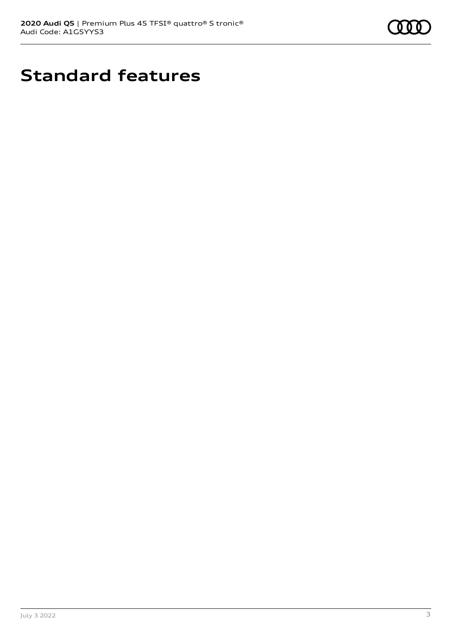

# **Standard features**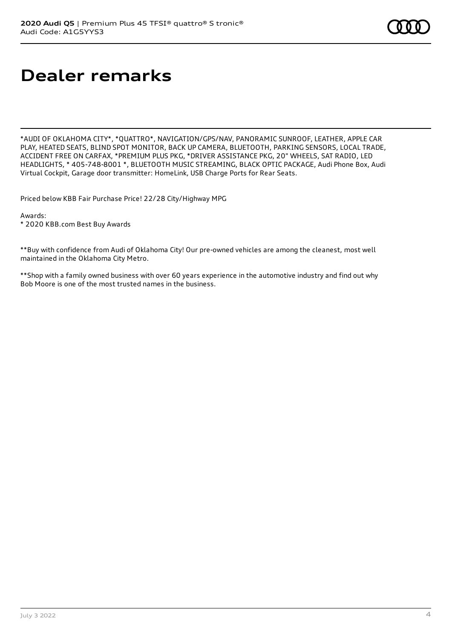# **Dealer remarks**

\*AUDI OF OKLAHOMA CITY\*, \*QUATTRO\*, NAVIGATION/GPS/NAV, PANORAMIC SUNROOF, LEATHER, APPLE CAR PLAY, HEATED SEATS, BLIND SPOT MONITOR, BACK UP CAMERA, BLUETOOTH, PARKING SENSORS, LOCAL TRADE, ACCIDENT FREE ON CARFAX, \*PREMIUM PLUS PKG, \*DRIVER ASSISTANCE PKG, 20" WHEELS, SAT RADIO, LED HEADLIGHTS, \* 405-748-8001 \*, BLUETOOTH MUSIC STREAMING, BLACK OPTIC PACKAGE, Audi Phone Box, Audi Virtual Cockpit, Garage door transmitter: HomeLink, USB Charge Ports for Rear Seats.

Priced below KBB Fair Purchase Price! 22/28 City/Highway MPG

Awards:

\* 2020 KBB.com Best Buy Awards

\*\*Buy with confidence from Audi of Oklahoma City! Our pre-owned vehicles are among the cleanest, most well maintained in the Oklahoma City Metro.

\*\*Shop with a family owned business with over 60 years experience in the automotive industry and find out why Bob Moore is one of the most trusted names in the business.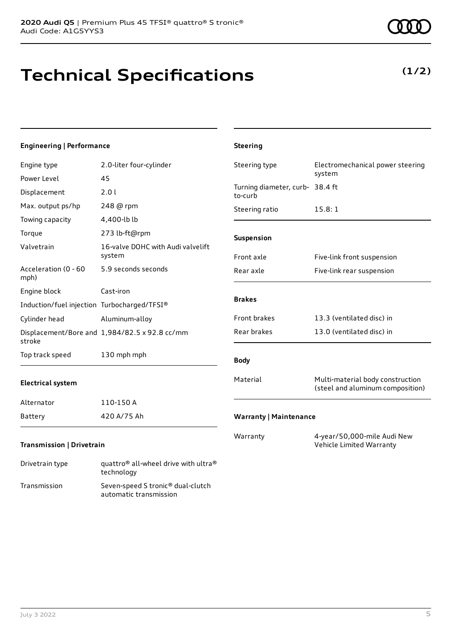# **Technical Specifications**

technology Transmission Seven-speed S tronic® dual-clutch

automatic transmission

## **Engineering | Performance**

| Engine type                                 | 2.0-liter four-cylinder                       | Steering type                              | Electromechanical power steering                                     |
|---------------------------------------------|-----------------------------------------------|--------------------------------------------|----------------------------------------------------------------------|
| Power Level                                 | 45                                            |                                            | system                                                               |
| Displacement                                | 2.01                                          | Turning diameter, curb- 38.4 ft<br>to-curb |                                                                      |
| Max. output ps/hp                           | 248 @ rpm                                     | Steering ratio                             | 15.8:1                                                               |
| Towing capacity                             | 4,400-lb lb                                   |                                            |                                                                      |
| Torque                                      | 273 lb-ft@rpm                                 | Suspension                                 |                                                                      |
| Valvetrain                                  | 16-valve DOHC with Audi valvelift<br>system   | Front axle                                 | Five-link front suspension                                           |
| Acceleration (0 - 60<br>mph)                | 5.9 seconds seconds                           | Rear axle                                  | Five-link rear suspension                                            |
| Engine block                                | Cast-iron                                     |                                            |                                                                      |
| Induction/fuel injection Turbocharged/TFSI® |                                               | <b>Brakes</b>                              |                                                                      |
| Cylinder head                               | Aluminum-alloy                                | Front brakes                               | 13.3 (ventilated disc) in                                            |
| stroke                                      | Displacement/Bore and 1,984/82.5 x 92.8 cc/mm | Rear brakes                                | 13.0 (ventilated disc) in                                            |
| Top track speed                             | 130 mph mph                                   | <b>Body</b>                                |                                                                      |
| <b>Electrical system</b>                    |                                               | Material                                   | Multi-material body construction<br>(steel and aluminum composition) |
| Alternator                                  | 110-150 A                                     |                                            |                                                                      |
| Battery                                     | 420 A/75 Ah                                   | <b>Warranty   Maintenance</b>              |                                                                      |
| <b>Transmission   Drivetrain</b>            |                                               | Warranty                                   | 4-year/50,000-mile Audi New<br>Vehicle Limited Warranty              |
| Drivetrain type                             | quattro® all-wheel drive with ultra®          |                                            |                                                                      |

**Steering**

# **(1/2)**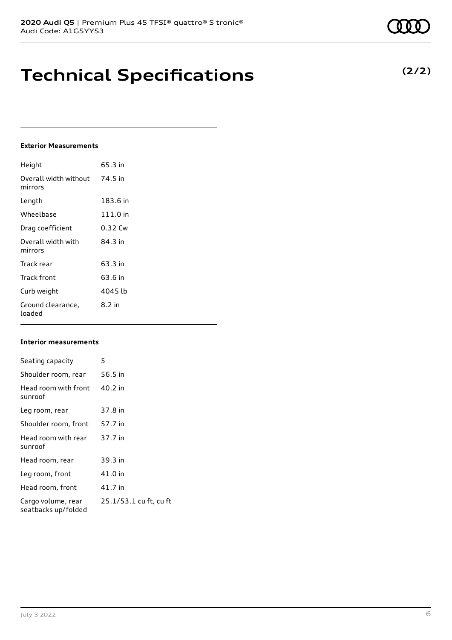# **Technical Specifications**

## **Exterior Measurements**

| Height                           | 65.3 in  |
|----------------------------------|----------|
| Overall width without<br>mirrors | 74.5 in  |
| Length                           | 183.6 in |
| Wheelbase                        | 111.0 in |
| Drag coefficient                 | 0.32 Cw  |
| Overall width with<br>mirrors    | 84.3 in  |
| Track rear                       | 63.3 in  |
| Track front                      | 63.6 in  |
| Curb weight                      | 4045 lb  |
| Ground clearance,<br>loaded      | $8.2$ in |

### **Interior measurements**

| Seating capacity                          | 5                      |
|-------------------------------------------|------------------------|
| Shoulder room, rear                       | 56.5 in                |
| Head room with front<br>sunroof           | 40.2 in                |
| Leg room, rear                            | 37.8 in                |
| Shoulder room, front                      | 57.7 in                |
| Head room with rear<br>sunroof            | 37.7 in                |
| Head room, rear                           | 39.3 in                |
| Leg room, front                           | 41.0 in                |
| Head room, front                          | 41.7 in                |
| Cargo volume, rear<br>seatbacks up/folded | 25.1/53.1 cu ft, cu ft |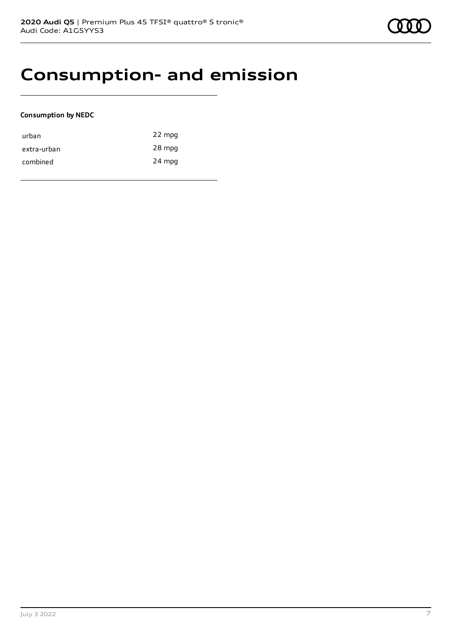# **Consumption- and emission**

### **Consumption by NEDC**

| urban       | 22 mpg |
|-------------|--------|
| extra-urban | 28 mpg |
| combined    | 24 mpg |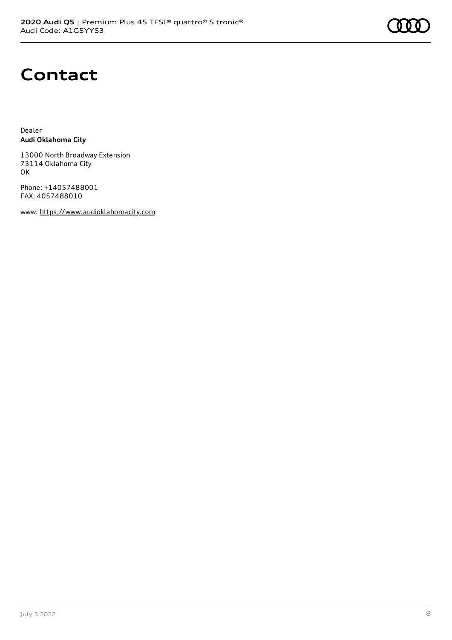# **Contact**

Dealer **Audi Oklahoma City**

13000 North Broadway Extension 73114 Oklahoma City OK

Phone: +14057488001 FAX: 4057488010

www: [https://www.audioklahomacity.com](https://www.audioklahomacity.com/)